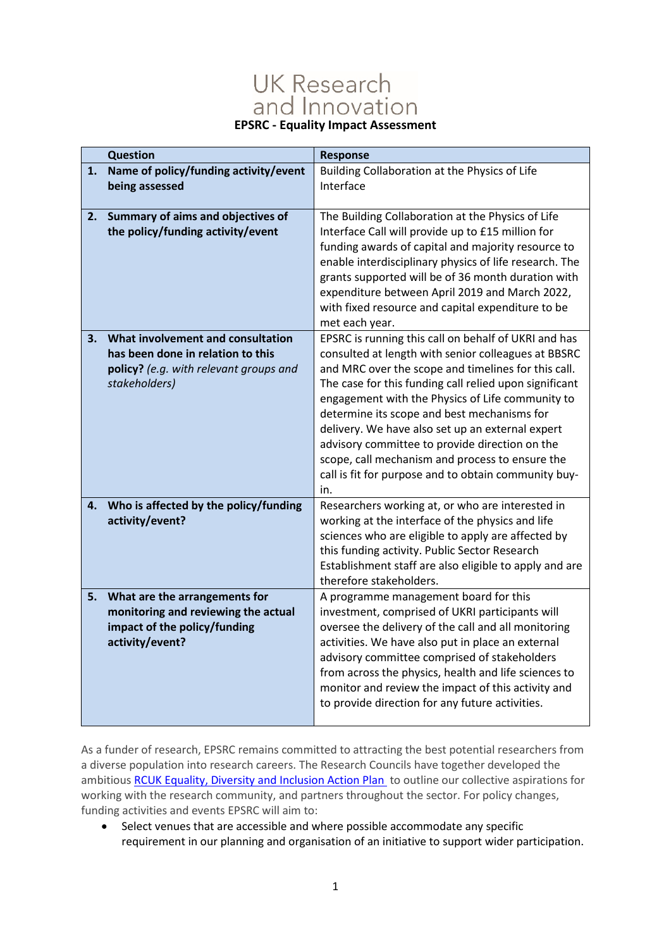## **UK Research** and Innovation **EPSRC - Equality Impact Assessment**

|    | <b>Question</b>                                                                                                                   | <b>Response</b>                                                                                                                                                                                                                                                                                                                                                                                                                                                                                                                                         |
|----|-----------------------------------------------------------------------------------------------------------------------------------|---------------------------------------------------------------------------------------------------------------------------------------------------------------------------------------------------------------------------------------------------------------------------------------------------------------------------------------------------------------------------------------------------------------------------------------------------------------------------------------------------------------------------------------------------------|
| 1. | Name of policy/funding activity/event<br>being assessed                                                                           | Building Collaboration at the Physics of Life<br>Interface                                                                                                                                                                                                                                                                                                                                                                                                                                                                                              |
| 2. | Summary of aims and objectives of<br>the policy/funding activity/event                                                            | The Building Collaboration at the Physics of Life<br>Interface Call will provide up to £15 million for<br>funding awards of capital and majority resource to<br>enable interdisciplinary physics of life research. The<br>grants supported will be of 36 month duration with<br>expenditure between April 2019 and March 2022,<br>with fixed resource and capital expenditure to be<br>met each year.                                                                                                                                                   |
| 3. | What involvement and consultation<br>has been done in relation to this<br>policy? (e.g. with relevant groups and<br>stakeholders) | EPSRC is running this call on behalf of UKRI and has<br>consulted at length with senior colleagues at BBSRC<br>and MRC over the scope and timelines for this call.<br>The case for this funding call relied upon significant<br>engagement with the Physics of Life community to<br>determine its scope and best mechanisms for<br>delivery. We have also set up an external expert<br>advisory committee to provide direction on the<br>scope, call mechanism and process to ensure the<br>call is fit for purpose and to obtain community buy-<br>in. |
| 4. | Who is affected by the policy/funding<br>activity/event?                                                                          | Researchers working at, or who are interested in<br>working at the interface of the physics and life<br>sciences who are eligible to apply are affected by<br>this funding activity. Public Sector Research<br>Establishment staff are also eligible to apply and are<br>therefore stakeholders.                                                                                                                                                                                                                                                        |
| 5. | What are the arrangements for<br>monitoring and reviewing the actual<br>impact of the policy/funding<br>activity/event?           | A programme management board for this<br>investment, comprised of UKRI participants will<br>oversee the delivery of the call and all monitoring<br>activities. We have also put in place an external<br>advisory committee comprised of stakeholders<br>from across the physics, health and life sciences to<br>monitor and review the impact of this activity and<br>to provide direction for any future activities.                                                                                                                                   |

As a funder of research, EPSRC remains committed to attracting the best potential researchers from a diverse population into research careers. The Research Councils have together developed the ambitious [RCUK Equality, Diversity and Inclusion Action Plan](https://www.ukri.org/files/legacy/documents/actionplan2016-pdf/) to outline our collective aspirations for working with the research community, and partners throughout the sector. For policy changes, funding activities and events EPSRC will aim to:

• Select venues that are accessible and where possible accommodate any specific requirement in our planning and organisation of an initiative to support wider participation.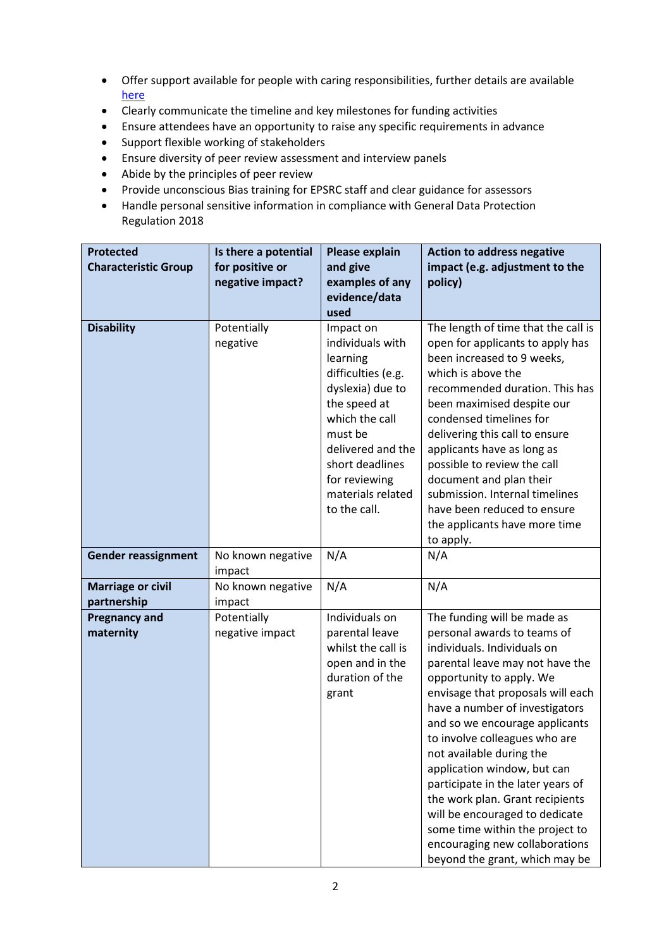- Offer support available for people with caring responsibilities, further details are available [here](https://epsrc.ukri.org/funding/applicationprocess/basics/caringresponsibilities/)
- Clearly communicate the timeline and key milestones for funding activities
- Ensure attendees have an opportunity to raise any specific requirements in advance
- Support flexible working of stakeholders
- Ensure diversity of peer review assessment and interview panels
- Abide by the principles of peer review
- Provide unconscious Bias training for EPSRC staff and clear guidance for assessors
- Handle personal sensitive information in compliance with General Data Protection Regulation 2018

| <b>Protected</b><br><b>Characteristic Group</b> | Is there a potential<br>for positive or | Please explain<br>and give                                                                                                                                                                                                     | <b>Action to address negative</b><br>impact (e.g. adjustment to the                                                                                                                                                                                                                                                                                                                                                                                                                                                                                                            |
|-------------------------------------------------|-----------------------------------------|--------------------------------------------------------------------------------------------------------------------------------------------------------------------------------------------------------------------------------|--------------------------------------------------------------------------------------------------------------------------------------------------------------------------------------------------------------------------------------------------------------------------------------------------------------------------------------------------------------------------------------------------------------------------------------------------------------------------------------------------------------------------------------------------------------------------------|
|                                                 | negative impact?                        | examples of any<br>evidence/data                                                                                                                                                                                               | policy)                                                                                                                                                                                                                                                                                                                                                                                                                                                                                                                                                                        |
|                                                 |                                         | used                                                                                                                                                                                                                           |                                                                                                                                                                                                                                                                                                                                                                                                                                                                                                                                                                                |
| <b>Disability</b>                               | Potentially<br>negative                 | Impact on<br>individuals with<br>learning<br>difficulties (e.g.<br>dyslexia) due to<br>the speed at<br>which the call<br>must be<br>delivered and the<br>short deadlines<br>for reviewing<br>materials related<br>to the call. | The length of time that the call is<br>open for applicants to apply has<br>been increased to 9 weeks,<br>which is above the<br>recommended duration. This has<br>been maximised despite our<br>condensed timelines for<br>delivering this call to ensure<br>applicants have as long as<br>possible to review the call<br>document and plan their<br>submission. Internal timelines<br>have been reduced to ensure<br>the applicants have more time<br>to apply.                                                                                                                |
| <b>Gender reassignment</b>                      | No known negative<br>impact             | N/A                                                                                                                                                                                                                            | N/A                                                                                                                                                                                                                                                                                                                                                                                                                                                                                                                                                                            |
| <b>Marriage or civil</b><br>partnership         | No known negative<br>impact             | N/A                                                                                                                                                                                                                            | N/A                                                                                                                                                                                                                                                                                                                                                                                                                                                                                                                                                                            |
| <b>Pregnancy and</b><br>maternity               | Potentially<br>negative impact          | Individuals on<br>parental leave<br>whilst the call is<br>open and in the<br>duration of the<br>grant                                                                                                                          | The funding will be made as<br>personal awards to teams of<br>individuals. Individuals on<br>parental leave may not have the<br>opportunity to apply. We<br>envisage that proposals will each<br>have a number of investigators<br>and so we encourage applicants<br>to involve colleagues who are<br>not available during the<br>application window, but can<br>participate in the later years of<br>the work plan. Grant recipients<br>will be encouraged to dedicate<br>some time within the project to<br>encouraging new collaborations<br>beyond the grant, which may be |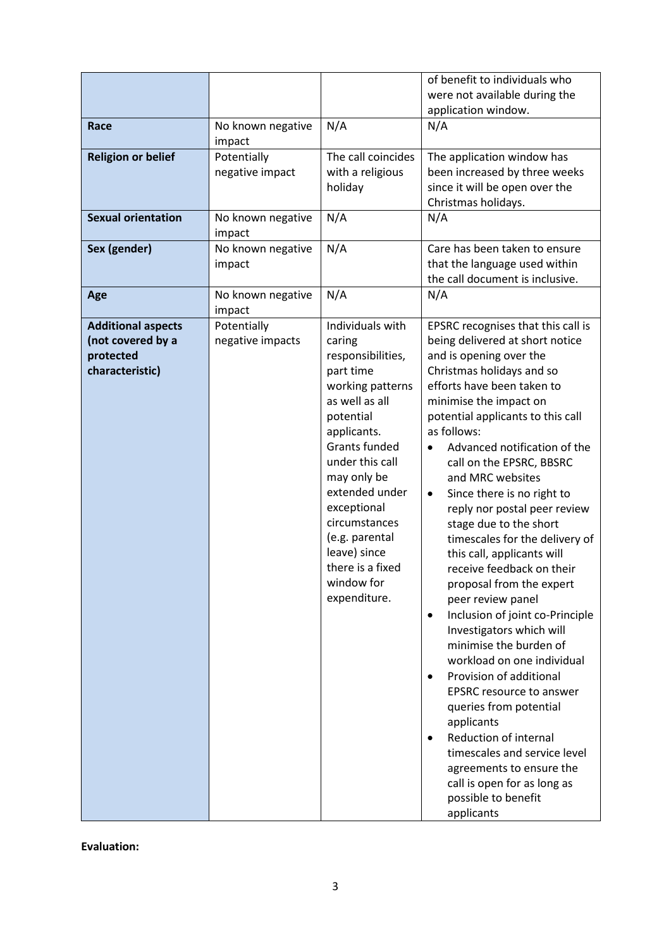| Race<br><b>Religion or belief</b><br><b>Sexual orientation</b><br>Sex (gender) | No known negative<br>impact<br>Potentially<br>negative impact<br>No known negative<br>impact<br>No known negative | N/A<br>The call coincides<br>with a religious<br>holiday<br>N/A<br>N/A                                                                                                                                                                                                                                                         | of benefit to individuals who<br>were not available during the<br>application window.<br>N/A<br>The application window has<br>been increased by three weeks<br>since it will be open over the<br>Christmas holidays.<br>N/A<br>Care has been taken to ensure                                                                                                                                                                                                                                                                                                                                                                                                                                                                                                                                                                                                                                                                                                                 |
|--------------------------------------------------------------------------------|-------------------------------------------------------------------------------------------------------------------|--------------------------------------------------------------------------------------------------------------------------------------------------------------------------------------------------------------------------------------------------------------------------------------------------------------------------------|------------------------------------------------------------------------------------------------------------------------------------------------------------------------------------------------------------------------------------------------------------------------------------------------------------------------------------------------------------------------------------------------------------------------------------------------------------------------------------------------------------------------------------------------------------------------------------------------------------------------------------------------------------------------------------------------------------------------------------------------------------------------------------------------------------------------------------------------------------------------------------------------------------------------------------------------------------------------------|
|                                                                                | impact                                                                                                            |                                                                                                                                                                                                                                                                                                                                | that the language used within<br>the call document is inclusive.                                                                                                                                                                                                                                                                                                                                                                                                                                                                                                                                                                                                                                                                                                                                                                                                                                                                                                             |
| Age                                                                            | No known negative<br>impact                                                                                       | N/A                                                                                                                                                                                                                                                                                                                            | N/A                                                                                                                                                                                                                                                                                                                                                                                                                                                                                                                                                                                                                                                                                                                                                                                                                                                                                                                                                                          |
| <b>Additional aspects</b><br>(not covered by a<br>protected<br>characteristic) | Potentially<br>negative impacts                                                                                   | Individuals with<br>caring<br>responsibilities,<br>part time<br>working patterns<br>as well as all<br>potential<br>applicants.<br><b>Grants funded</b><br>under this call<br>may only be<br>extended under<br>exceptional<br>circumstances<br>(e.g. parental<br>leave) since<br>there is a fixed<br>window for<br>expenditure. | EPSRC recognises that this call is<br>being delivered at short notice<br>and is opening over the<br>Christmas holidays and so<br>efforts have been taken to<br>minimise the impact on<br>potential applicants to this call<br>as follows:<br>Advanced notification of the<br>call on the EPSRC, BBSRC<br>and MRC websites<br>Since there is no right to<br>$\bullet$<br>reply nor postal peer review<br>stage due to the short<br>timescales for the delivery of<br>this call, applicants will<br>receive feedback on their<br>proposal from the expert<br>peer review panel<br>Inclusion of joint co-Principle<br>٠<br>Investigators which will<br>minimise the burden of<br>workload on one individual<br>Provision of additional<br>٠<br><b>EPSRC</b> resource to answer<br>queries from potential<br>applicants<br>Reduction of internal<br>timescales and service level<br>agreements to ensure the<br>call is open for as long as<br>possible to benefit<br>applicants |

**Evaluation:**